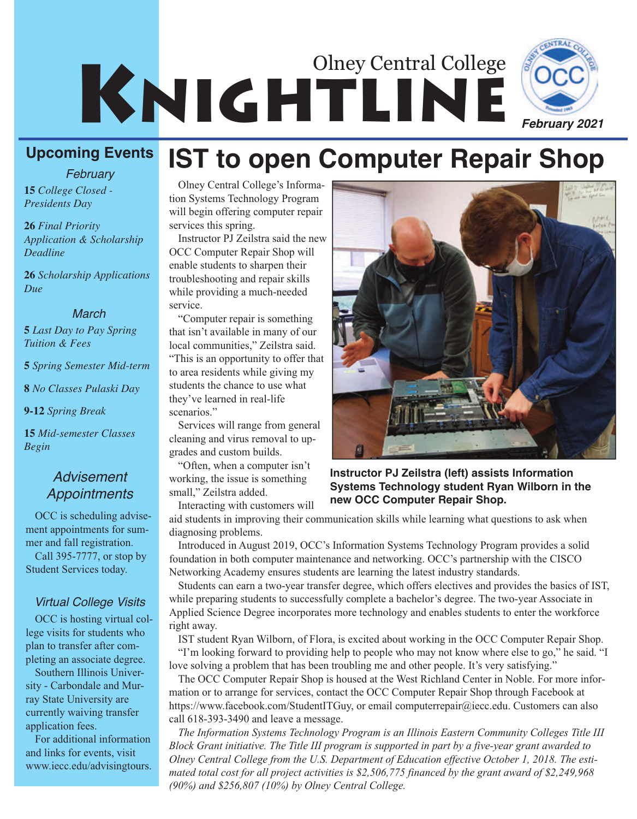



*February*

**15** *College Closed - Presidents Day*

**26** *Final Priority Application & Scholarship Deadline*

**26** *Scholarship Applications Due*

#### *March*

**5** *Last Day to Pay Spring Tuition & Fees*

**5** *Spring Semester Mid-term*

**8** *No Classes Pulaski Day*

**9-12** *Spring Break*

**15** *Mid-semester Classes Begin*

### *Advisement Appointments*

OCC is scheduling advisement appointments for summer and fall registration. Call 395-7777, or stop by Student Services today.

### *Virtual College Visits*

OCC is hosting virtual college visits for students who plan to transfer after completing an associate degree.

Southern Illinois University - Carbondale and Murray State University are currently waiving transfer application fees.

For additional information and links for events, visit www.iecc.edu/advisingtours.

#### Olney Central College's Information Systems Technology Program will begin offering computer repair services this spring.

Instructor PJ Zeilstra said the new OCC Computer Repair Shop will enable students to sharpen their troubleshooting and repair skills while providing a much-needed service.

"Computer repair is something that isn't available in many of our local communities," Zeilstra said. "This is an opportunity to offer that to area residents while giving my students the chance to use what they've learned in real-life scenarios."

Services will range from general cleaning and virus removal to upgrades and custom builds.

"Often, when a computer isn't working, the issue is something small," Zeilstra added. Interacting with customers will

**Instructor PJ Zeilstra (left) assists Information Systems Technology student Ryan Wilborn in the new OCC Computer Repair Shop.**

aid students in improving their communication skills while learning what questions to ask when diagnosing problems.

**IST to open Computer Repair Shop**

Introduced in August 2019, OCC's Information Systems Technology Program provides a solid foundation in both computer maintenance and networking. OCC's partnership with the CISCO Networking Academy ensures students are learning the latest industry standards.

Students can earn a two-year transfer degree, which offers electives and provides the basics of IST, while preparing students to successfully complete a bachelor's degree. The two-year Associate in Applied Science Degree incorporates more technology and enables students to enter the workforce right away.

IST student Ryan Wilborn, of Flora, is excited about working in the OCC Computer Repair Shop. "I'm looking forward to providing help to people who may not know where else to go," he said. "I

love solving a problem that has been troubling me and other people. It's very satisfying." The OCC Computer Repair Shop is housed at the West Richland Center in Noble. For more information or to arrange for services, contact the OCC Computer Repair Shop through Facebook at https://www.facebook.com/StudentITGuy, or email computerrepair@iecc.edu. Customers can also call 618-393-3490 and leave a message.

*The Information Systems Technology Program is an Illinois Eastern Community Colleges Title III Block Grant initiative. The Title III program is supported in part by a five-year grant awarded to Olney Central College from the U.S. Department of Education effective October 1, 2018. The estimated total cost for all project activities is \$2,506,775 financed by the grant award of \$2,249,968 (90%) and \$256,807 (10%) by Olney Central College.*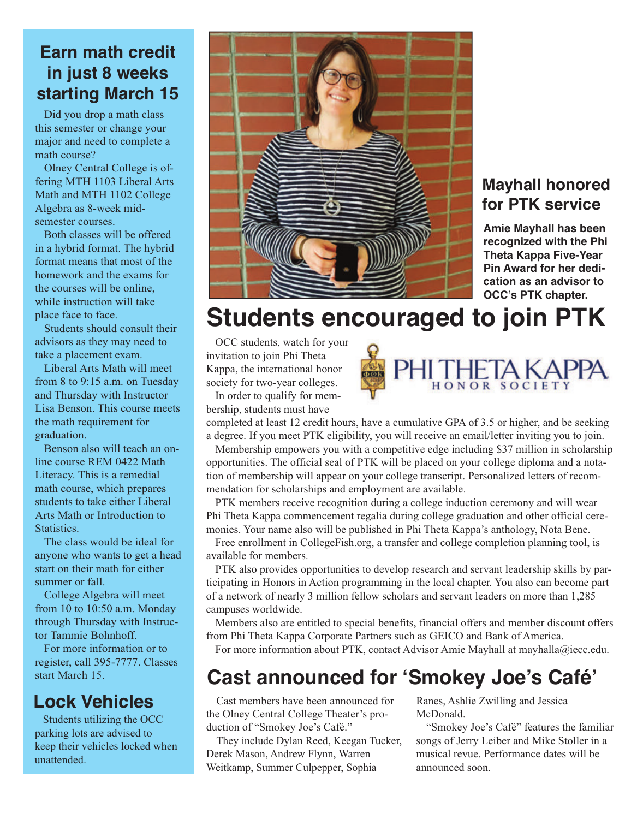## **Earn math credit in just 8 weeks starting March 15**

Did you drop a math class this semester or change your major and need to complete a math course?

Olney Central College is offering MTH 1103 Liberal Arts Math and MTH 1102 College Algebra as 8-week midsemester courses.

Both classes will be offered in a hybrid format. The hybrid format means that most of the homework and the exams for the courses will be online, while instruction will take place face to face.

Students should consult their advisors as they may need to take a placement exam.

Liberal Arts Math will meet from 8 to 9:15 a.m. on Tuesday and Thursday with Instructor Lisa Benson. This course meets the math requirement for graduation.

Benson also will teach an online course REM 0422 Math Literacy. This is a remedial math course, which prepares students to take either Liberal Arts Math or Introduction to Statistics.

The class would be ideal for anyone who wants to get a head start on their math for either summer or fall.

College Algebra will meet from 10 to 10:50 a.m. Monday through Thursday with Instructor Tammie Bohnhoff.

For more information or to register, call 395-7777. Classes start March 15.

# **Lock Vehicles**

Students utilizing the OCC parking lots are advised to keep their vehicles locked when unattended.



## **Mayhall honored for PTK service**

**Amie Mayhall has been recognized with the Phi Theta Kappa Five-Year Pin Award for her dedication as an advisor to OCC's PTK chapter.**

# **Students encouraged to join PTK**

OCC students, watch for your invitation to join Phi Theta Kappa, the international honor society for two-year colleges.

In order to qualify for membership, students must have

PHI 1

completed at least 12 credit hours, have a cumulative GPA of 3.5 or higher, and be seeking a degree. If you meet PTK eligibility, you will receive an email/letter inviting you to join.

Membership empowers you with a competitive edge including \$37 million in scholarship opportunities. The official seal of PTK will be placed on your college diploma and a notation of membership will appear on your college transcript. Personalized letters of recommendation for scholarships and employment are available.

PTK members receive recognition during a college induction ceremony and will wear Phi Theta Kappa commencement regalia during college graduation and other official ceremonies. Your name also will be published in Phi Theta Kappa's anthology, Nota Bene.

Free enrollment in CollegeFish.org, a transfer and college completion planning tool, is available for members.

PTK also provides opportunities to develop research and servant leadership skills by participating in Honors in Action programming in the local chapter. You also can become part of a network of nearly 3 million fellow scholars and servant leaders on more than 1,285 campuses worldwide.

Members also are entitled to special benefits, financial offers and member discount offers from Phi Theta Kappa Corporate Partners such as GEICO and Bank of America.

For more information about PTK, contact Advisor Amie Mayhall at mayhalla@iecc.edu.

# **Cast announced for 'Smokey Joe's Café'**

Cast members have been announced for the Olney Central College Theater's production of "Smokey Joe's Café."

They include Dylan Reed, Keegan Tucker, Derek Mason, Andrew Flynn, Warren Weitkamp, Summer Culpepper, Sophia

Ranes, Ashlie Zwilling and Jessica McDonald.

"Smokey Joe's Café" features the familiar songs of Jerry Leiber and Mike Stoller in a musical revue. Performance dates will be announced soon.